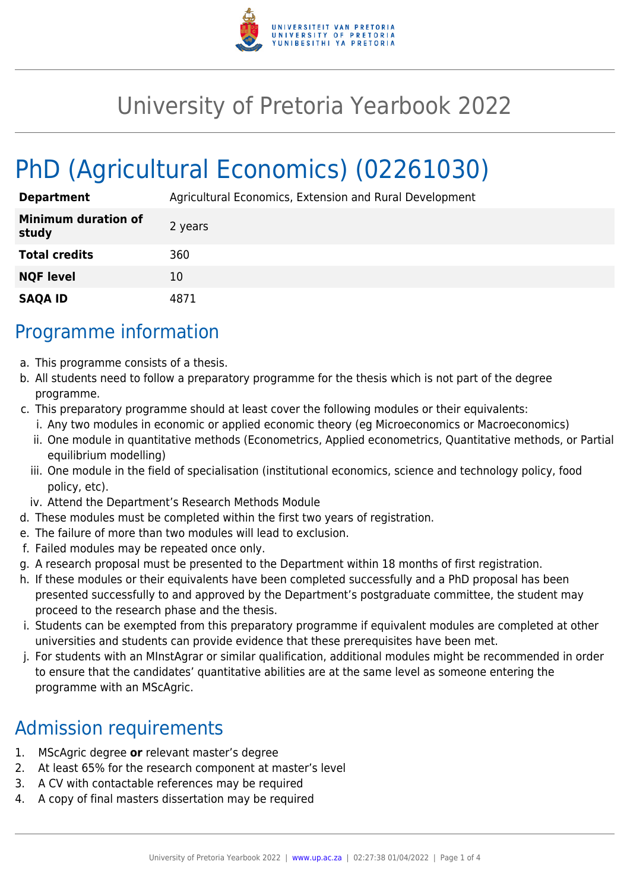

## University of Pretoria Yearbook 2022

# PhD (Agricultural Economics) (02261030)

| <b>Department</b>                   | Agricultural Economics, Extension and Rural Development |
|-------------------------------------|---------------------------------------------------------|
| <b>Minimum duration of</b><br>study | 2 years                                                 |
| <b>Total credits</b>                | 360                                                     |
| <b>NQF level</b>                    | 10                                                      |
| <b>SAQA ID</b>                      | 4871                                                    |

## Programme information

- a. This programme consists of a thesis.
- b. All students need to follow a preparatory programme for the thesis which is not part of the degree programme.
- c. This preparatory programme should at least cover the following modules or their equivalents:
	- i. Any two modules in economic or applied economic theory (eg Microeconomics or Macroeconomics)
	- ii. One module in quantitative methods (Econometrics, Applied econometrics, Quantitative methods, or Partial equilibrium modelling)
	- iii. One module in the field of specialisation (institutional economics, science and technology policy, food policy, etc).
	- iv. Attend the Department's Research Methods Module
- d. These modules must be completed within the first two years of registration.
- e. The failure of more than two modules will lead to exclusion.
- f. Failed modules may be repeated once only.
- g. A research proposal must be presented to the Department within 18 months of first registration.
- h. If these modules or their equivalents have been completed successfully and a PhD proposal has been presented successfully to and approved by the Department's postgraduate committee, the student may proceed to the research phase and the thesis.
- i. Students can be exempted from this preparatory programme if equivalent modules are completed at other universities and students can provide evidence that these prerequisites have been met.
- j. For students with an MInstAgrar or similar qualification, additional modules might be recommended in order to ensure that the candidates' quantitative abilities are at the same level as someone entering the programme with an MScAgric.

## Admission requirements

- 1. MScAgric degree **or** relevant master's degree
- 2. At least 65% for the research component at master's level
- 3. A CV with contactable references may be required
- 4. A copy of final masters dissertation may be required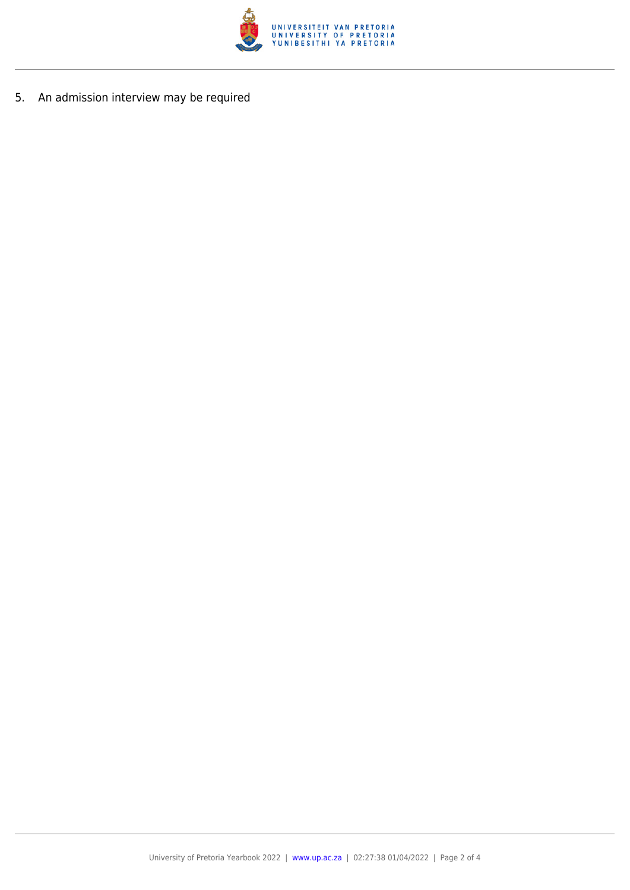

5. An admission interview may be required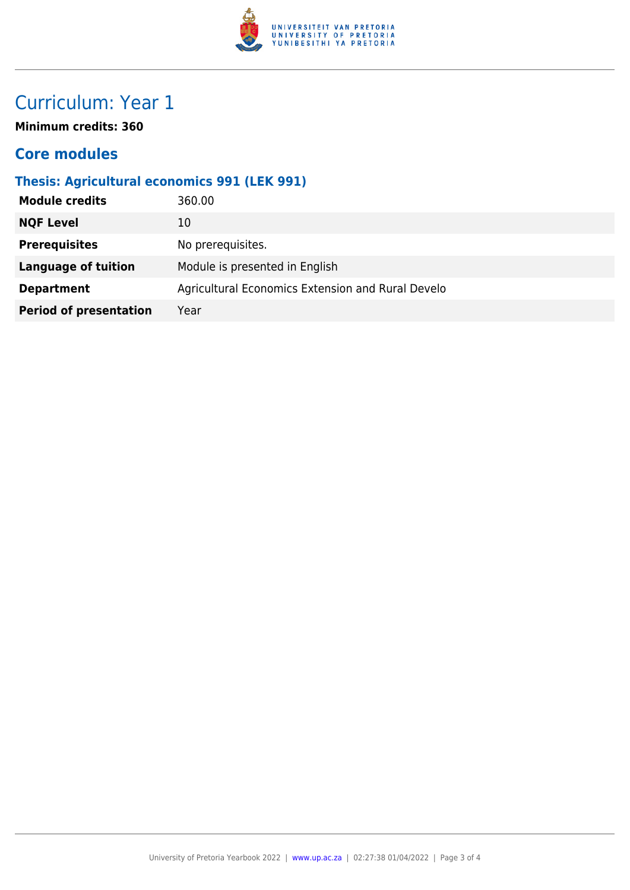

## Curriculum: Year 1

**Minimum credits: 360**

#### **Core modules**

#### **Thesis: Agricultural economics 991 (LEK 991)**

| <b>Module credits</b><br>360.00       |                                                   |
|---------------------------------------|---------------------------------------------------|
| <b>NQF Level</b><br>10                |                                                   |
| <b>Prerequisites</b>                  | No prerequisites.                                 |
| <b>Language of tuition</b>            | Module is presented in English                    |
| <b>Department</b>                     | Agricultural Economics Extension and Rural Develo |
| <b>Period of presentation</b><br>Year |                                                   |